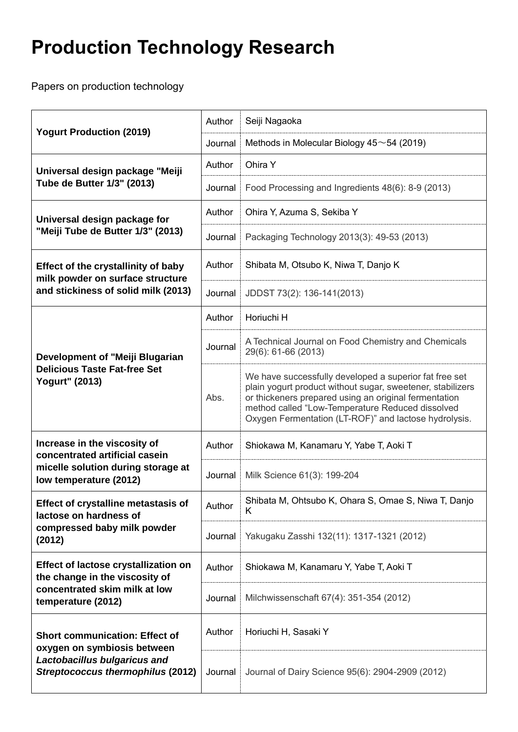## **Production Technology Research**

Papers on production technology

| <b>Yogurt Production (2019)</b>                                                                                                                  | Author  | Seiji Nagaoka                                                                                                                                                                                                                                                                              |
|--------------------------------------------------------------------------------------------------------------------------------------------------|---------|--------------------------------------------------------------------------------------------------------------------------------------------------------------------------------------------------------------------------------------------------------------------------------------------|
|                                                                                                                                                  | Journal | Methods in Molecular Biology $45 \sim 54$ (2019)                                                                                                                                                                                                                                           |
| Universal design package "Meiji<br>Tube de Butter 1/3" (2013)                                                                                    | Author  | Ohira Y                                                                                                                                                                                                                                                                                    |
|                                                                                                                                                  | Journal | Food Processing and Ingredients 48(6): 8-9 (2013)                                                                                                                                                                                                                                          |
| Universal design package for<br>"Meiji Tube de Butter 1/3" (2013)                                                                                | Author  | Ohira Y, Azuma S, Sekiba Y                                                                                                                                                                                                                                                                 |
|                                                                                                                                                  | Journal | Packaging Technology 2013(3): 49-53 (2013)                                                                                                                                                                                                                                                 |
| <b>Effect of the crystallinity of baby</b><br>milk powder on surface structure<br>and stickiness of solid milk (2013)                            | Author  | Shibata M, Otsubo K, Niwa T, Danjo K                                                                                                                                                                                                                                                       |
|                                                                                                                                                  | Journal | JDDST 73(2): 136-141(2013)                                                                                                                                                                                                                                                                 |
| Development of "Meiji Blugarian<br><b>Delicious Taste Fat-free Set</b><br><b>Yogurt" (2013)</b>                                                  | Author  | Horiuchi H                                                                                                                                                                                                                                                                                 |
|                                                                                                                                                  | Journal | A Technical Journal on Food Chemistry and Chemicals<br>29(6): 61-66 (2013)                                                                                                                                                                                                                 |
|                                                                                                                                                  | Abs.    | We have successfully developed a superior fat free set<br>plain yogurt product without sugar, sweetener, stabilizers<br>or thickeners prepared using an original fermentation<br>method called "Low-Temperature Reduced dissolved<br>Oxygen Fermentation (LT-ROF)" and lactose hydrolysis. |
| Increase in the viscosity of<br>concentrated artificial casein<br>micelle solution during storage at<br>low temperature (2012)                   | Author  | Shiokawa M, Kanamaru Y, Yabe T, Aoki T                                                                                                                                                                                                                                                     |
|                                                                                                                                                  | Journal | Milk Science 61(3): 199-204                                                                                                                                                                                                                                                                |
| Effect of crystalline metastasis of<br>lactose on hardness of<br>compressed baby milk powder<br>(2012)                                           | Author  | Shibata M, Ohtsubo K, Ohara S, Omae S, Niwa T, Danjo<br>Κ                                                                                                                                                                                                                                  |
|                                                                                                                                                  | Journal | Yakugaku Zasshi 132(11): 1317-1321 (2012)                                                                                                                                                                                                                                                  |
| Effect of lactose crystallization on<br>the change in the viscosity of<br>concentrated skim milk at low<br>temperature (2012)                    | Author  | Shiokawa M, Kanamaru Y, Yabe T, Aoki T                                                                                                                                                                                                                                                     |
|                                                                                                                                                  | Journal | Milchwissenschaft 67(4): 351-354 (2012)                                                                                                                                                                                                                                                    |
| <b>Short communication: Effect of</b><br>oxygen on symbiosis between<br>Lactobacillus bulgaricus and<br><b>Streptococcus thermophilus (2012)</b> | Author  | Horiuchi H, Sasaki Y                                                                                                                                                                                                                                                                       |
|                                                                                                                                                  | Journal | Journal of Dairy Science 95(6): 2904-2909 (2012)                                                                                                                                                                                                                                           |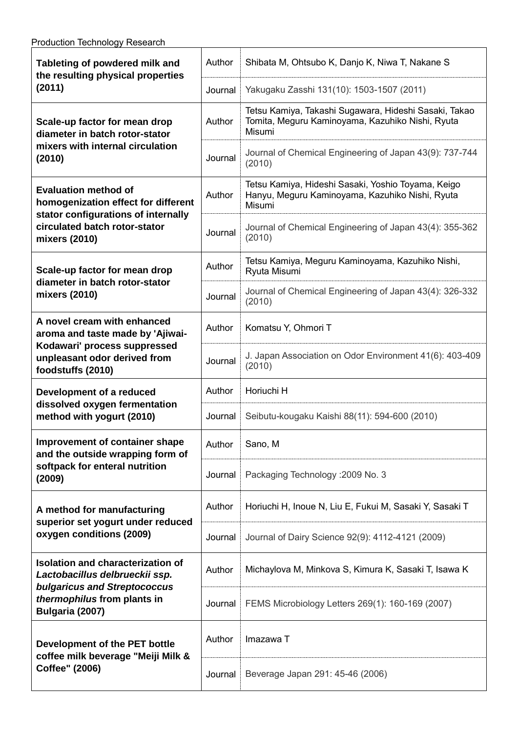| Tableting of powdered milk and<br>the resulting physical properties<br>(2011)                                                                                       | Author  | Shibata M, Ohtsubo K, Danjo K, Niwa T, Nakane S                                                                        |
|---------------------------------------------------------------------------------------------------------------------------------------------------------------------|---------|------------------------------------------------------------------------------------------------------------------------|
|                                                                                                                                                                     | Journal | Yakugaku Zasshi 131(10): 1503-1507 (2011)                                                                              |
| Scale-up factor for mean drop<br>diameter in batch rotor-stator<br>mixers with internal circulation<br>(2010)                                                       | Author  | Tetsu Kamiya, Takashi Sugawara, Hideshi Sasaki, Takao<br>Tomita, Meguru Kaminoyama, Kazuhiko Nishi, Ryuta<br>Misumi    |
|                                                                                                                                                                     | Journal | Journal of Chemical Engineering of Japan 43(9): 737-744<br>(2010)                                                      |
| <b>Evaluation method of</b><br>homogenization effect for different<br>stator configurations of internally<br>circulated batch rotor-stator<br>mixers (2010)         | Author  | Tetsu Kamiya, Hideshi Sasaki, Yoshio Toyama, Keigo<br>Hanyu, Meguru Kaminoyama, Kazuhiko Nishi, Ryuta<br><b>Misumi</b> |
|                                                                                                                                                                     | Journal | Journal of Chemical Engineering of Japan 43(4): 355-362<br>(2010)                                                      |
| Scale-up factor for mean drop<br>diameter in batch rotor-stator<br>mixers (2010)                                                                                    | Author  | Tetsu Kamiya, Meguru Kaminoyama, Kazuhiko Nishi,<br>Ryuta Misumi                                                       |
|                                                                                                                                                                     | Journal | Journal of Chemical Engineering of Japan 43(4): 326-332<br>(2010)                                                      |
| A novel cream with enhanced<br>aroma and taste made by 'Ajiwai-<br>Kodawari' process suppressed<br>unpleasant odor derived from<br>foodstuffs (2010)                | Author  | Komatsu Y, Ohmori T                                                                                                    |
|                                                                                                                                                                     | Journal | J. Japan Association on Odor Environment 41(6): 403-409<br>(2010)                                                      |
| Development of a reduced<br>dissolved oxygen fermentation<br>method with yogurt (2010)                                                                              | Author  | Horiuchi H                                                                                                             |
|                                                                                                                                                                     | Journal | Seibutu-kougaku Kaishi 88(11): 594-600 (2010)                                                                          |
| Improvement of container shape<br>and the outside wrapping form of<br>softpack for enteral nutrition<br>(2009)                                                      |         | Author Sano, M                                                                                                         |
|                                                                                                                                                                     | Journal | Packaging Technology: 2009 No. 3                                                                                       |
| A method for manufacturing<br>superior set yogurt under reduced<br>oxygen conditions (2009)                                                                         | Author  | Horiuchi H, Inoue N, Liu E, Fukui M, Sasaki Y, Sasaki T                                                                |
|                                                                                                                                                                     | Journal | Journal of Dairy Science 92(9): 4112-4121 (2009)                                                                       |
| <b>Isolation and characterization of</b><br>Lactobacillus delbrueckii ssp.<br><b>bulgaricus and Streptococcus</b><br>thermophilus from plants in<br>Bulgaria (2007) | Author  | Michaylova M, Minkova S, Kimura K, Sasaki T, Isawa K                                                                   |
|                                                                                                                                                                     | Journal | FEMS Microbiology Letters 269(1): 160-169 (2007)                                                                       |
| Development of the PET bottle<br>coffee milk beverage "Meiji Milk &<br>Coffee" (2006)                                                                               | Author  | Imazawa T                                                                                                              |
|                                                                                                                                                                     | Journal | Beverage Japan 291: 45-46 (2006)                                                                                       |